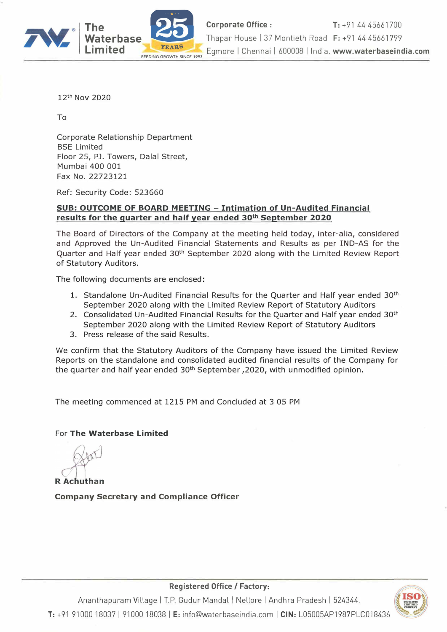

12th Nov 2020

To

Corporate Relationship Department BSE Limited Floor 25, PJ. Towers, Dalal Street, Mumbai 400 001 Fax No. 22723121

Ref: Security Code: 523660

### **SUB: OUTCOME OF BOARD MEETING - Intimation of Un-Audited Financial results for the quarter and half year ended 30th September 2020**

The Board of Directors of the Company at the meeting held today, inter-alia, considered and Approved the Un-Audited Financial Statements and Results as per IND-AS for the Quarter and Half year ended 30<sup>th</sup> September 2020 along with the Limited Review Report of Statutory Auditors.

The following documents are enclosed:

- 1. Standalone Un-Audited Financial Results for the Quarter and Half year ended 30<sup>th</sup> September 2020 along with the Limited Review Report of Statutory Auditors
- 2. Consolidated Un-Audited Financial Results for the Quarter and Half year ended 30<sup>th</sup> September 2020 along with the Limited Review Report of Statutory Auditors
- 3. Press release of the said Results.

We confirm that the Statutory Auditors of the Company have issued the Limited Review Reports on the standalone and consolidated audited financial results of the Company for the quarter and half year ended 30<sup>th</sup> September, 2020, with unmodified opinion.

The meeting commenced at 1215 PM and Concluded at 3 05 PM

### For **The Waterbase Limited**

**R** Achuthan

**Company Secretary and Compliance Officer** 



**Registered Office/ Factory:** 

Ananthapuram Village I T.P. Gudur Mandal I Nellore I Andhra Pradesh I 524344. **T:** +91 91000 18037 I 91000 18038 I **E:** info@waterbaseindia.com I **CIN:** L05005AP1987PLC018436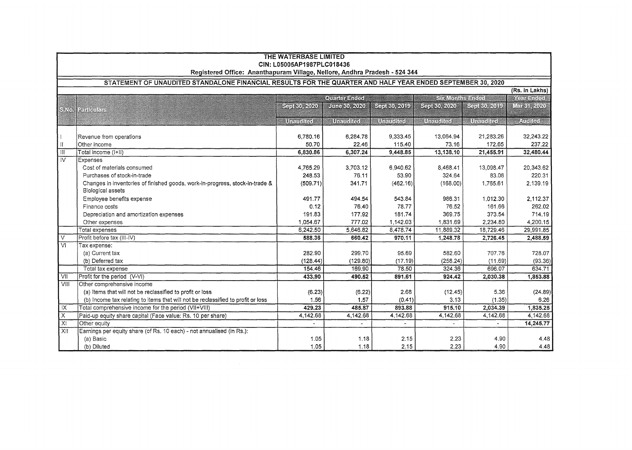|                                                                                                            | THE WATERBASE LIMITED<br>CIN: L05005AP1987PLC018436<br>Registered Office: Ananthapuram Village, Nellore, Andhra Pradesh - 524 344 |                     |                    |                |                   |           |             |  |  |
|------------------------------------------------------------------------------------------------------------|-----------------------------------------------------------------------------------------------------------------------------------|---------------------|--------------------|----------------|-------------------|-----------|-------------|--|--|
| STATEMENT OF UNAUDITED STANDALONE FINANCIAL RESULTS FOR THE QUARTER AND HALF YEAR ENDED SEPTEMBER 30, 2020 |                                                                                                                                   |                     |                    |                |                   |           |             |  |  |
|                                                                                                            | (Rs. in Lakhs)                                                                                                                    |                     |                    |                |                   |           |             |  |  |
|                                                                                                            | SR Milis Stock<br><b>CORRECTIBED</b><br><u>Kommunistis</u>                                                                        |                     |                    |                |                   |           |             |  |  |
| <b>BAG</b>                                                                                                 | <b>BATTANETS</b>                                                                                                                  | <u>Synkilleller</u> | <b>JURGEO 2020</b> | SIR OVIND      | Sen 30, ACO       | SS KOZO   | Markir 2020 |  |  |
|                                                                                                            |                                                                                                                                   | urance:             | Unanghasi          | <b>UTEMBER</b> | <u> UTAHHTA I</u> | UTANGIGI  | Ali Re      |  |  |
|                                                                                                            |                                                                                                                                   |                     |                    |                |                   |           |             |  |  |
|                                                                                                            | Revenue from operations                                                                                                           | 6,780.16            | 6,284.78           | 9,333.45       | 13,064.94         | 21,283.26 | 32,243.22   |  |  |
| HГ                                                                                                         | Other income                                                                                                                      | 50.70               | 22.46              | 115.40         | 73.16             | 172.65    | 237.22      |  |  |
| $\overline{\mathbb{H}}$                                                                                    | Total income (I+II)                                                                                                               | 6,830.86            | 6,307.24           | 9,448.85       | 13,138.10         | 21,455.91 | 32,480.44   |  |  |
| $\overline{W}$                                                                                             | Expenses                                                                                                                          |                     |                    |                |                   |           |             |  |  |
|                                                                                                            | Cost of materials consumed                                                                                                        | 4.765.29            | 3.703.12           | 6.940.62       | 8.468.41          | 13,098.47 | 20,343.62   |  |  |
|                                                                                                            | Purchases of stock-in-trade                                                                                                       | 248.53              | 76.11              | 53.90          | 324.64            | 83.08     | 220.31      |  |  |
|                                                                                                            | Changes in inventories of finished goods, work-in-progress, stock-in-trade &                                                      | (509.71)            | 341.71             | (462.16)       | (168.00)          | 1,765.61  | 2,139.19    |  |  |
|                                                                                                            | <b>Biological assets</b>                                                                                                          |                     |                    |                |                   |           |             |  |  |
|                                                                                                            | Employee benefits expense                                                                                                         | 491.77              | 494.54             | 543.84         | 986.31            | 1,012.30  | 2,112.37    |  |  |
|                                                                                                            | Finance costs                                                                                                                     | 0.12                | 76.40              | 78.77          | 76.52             | 161.66    | 262.02      |  |  |
|                                                                                                            | Depreciation and amortization expenses                                                                                            | 191.83              | 177.92             | 181.74         | 369.75            | 373.54    | 714.19      |  |  |
|                                                                                                            | Other expenses                                                                                                                    | 1.054.67            | 777.02             | 1,142.03       | 1,831.69          | 2,234.80  | 4,200.15    |  |  |
|                                                                                                            | Total expenses                                                                                                                    | 6,242.50            | 5,646.82           | 8.478.74       | 11.889.32         | 18,729.46 | 29,991.85   |  |  |
| $\overline{\vee}$                                                                                          | Profit before tax (III-IV)                                                                                                        | 588.36              | 660.42             | 970.11         | 1,248.78          | 2,726.45  | 2,488.59    |  |  |
| $\overline{M}$                                                                                             | Tax expense:                                                                                                                      |                     |                    |                |                   |           |             |  |  |
|                                                                                                            | (a) Current tax                                                                                                                   | 282.90              | 299.70             | 95.69          | 582.60            | 707.76    | 728.07      |  |  |
|                                                                                                            | (b) Deferred tax                                                                                                                  | (128.44)            | (129.80)           | (17.19)        | (258.24)          | (11.69)   | (93.36)     |  |  |
|                                                                                                            | Total tax expense                                                                                                                 | 154.46              | 169.90             | 78.50          | 324.36            | 696.07    | 634.71      |  |  |
| $\overline{v}$                                                                                             | Profit for the period (V-VI)                                                                                                      | 433.90              | 490.52             | 891.61         | 924.42            | 2,030.38  | 1,853.88    |  |  |
| VIII                                                                                                       | Other comprehensive income                                                                                                        |                     |                    |                |                   |           |             |  |  |
|                                                                                                            | (a) Items that will not be reclassified to profit or loss                                                                         | (6.23)              | (6.22)             | 2.68           | (12.45)           | 5.36      | (24.89)     |  |  |
|                                                                                                            | (b) Income tax relating to items that will not be reclassified to profit or loss                                                  | 1.56                | 1.57               | (0.41)         | 3.13              | (1.35)    | 6.26        |  |  |
| $\overline{X}$                                                                                             | Total comprehensive income for the period (VII+VIII)                                                                              | 429.23              | 485.87             | 893.88         | 915.10            | 2,034.39  | 1,835.25    |  |  |
| 区                                                                                                          | Paid-up equity share capital (Face value: Rs. 10 per share)                                                                       | 4,142.68            | 4,142.68           | 4,142.68       | 4,142.68          | 4,142.68  | 4,142.68    |  |  |
| $\overline{\mathsf{x}}$                                                                                    | Other equity                                                                                                                      |                     | $\blacksquare$     |                |                   |           | 14,245.77   |  |  |
| $\overline{X}$                                                                                             | Earnings per equity share (of Rs. 10 each) - not annualised (in Rs.):                                                             |                     |                    |                |                   |           |             |  |  |
|                                                                                                            | (a) Basic                                                                                                                         | 1.05                | 1.18               | 2.15           | 2.23              | 4.90      | 4.48        |  |  |
|                                                                                                            | (b) Diluted                                                                                                                       | 1.05                | 1.18               | 2.15           | 2.23              | 4.90      | 4.48        |  |  |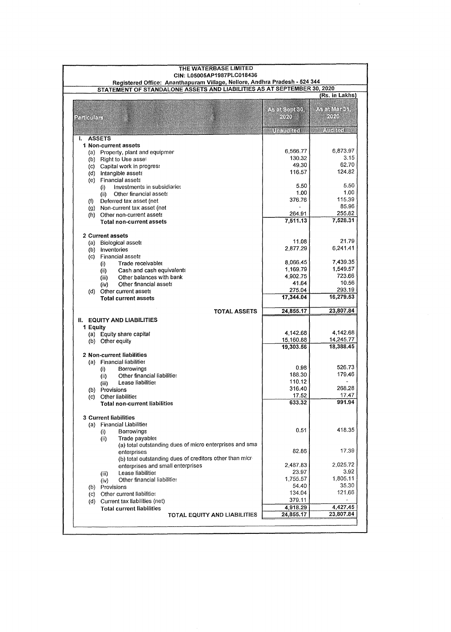|                  | THE WATERBASE LIMITED<br>CIN: L05005AP1987PLC018436                                                                                                   |                    |                   |
|------------------|-------------------------------------------------------------------------------------------------------------------------------------------------------|--------------------|-------------------|
|                  | Registered Office: Ananthapuram Village, Nellore, Andhra Pradesh - 524 344<br>STATEMENT OF STANDALONE ASSETS AND LIABILITIES AS AT SEPTEMBER 30, 2020 |                    |                   |
|                  |                                                                                                                                                       |                    | (Rs. in Lakhs)    |
|                  |                                                                                                                                                       |                    |                   |
|                  |                                                                                                                                                       | ්ප බැපිවු බලිනි.   | A SERIO (NETES) P |
| <b>PTRIBURTS</b> |                                                                                                                                                       | 701                | <b>MAN</b>        |
|                  |                                                                                                                                                       |                    |                   |
|                  |                                                                                                                                                       | <b>Manufact</b>    | Andreal           |
| ł.               | <b>ASSETS</b>                                                                                                                                         |                    |                   |
|                  | 1 Non-current assets                                                                                                                                  |                    |                   |
|                  | (a) Property, plant and equipmer                                                                                                                      | 6,566.77           | 6,873.97          |
|                  | (b) Right to Use asset                                                                                                                                | 130.32             | 3,15              |
|                  | (c) Capital work in progress                                                                                                                          | 49.30              | 62.70             |
|                  | (d) Intangible assets                                                                                                                                 | 116.57             | 124.82            |
|                  | (e) Financial assets                                                                                                                                  |                    |                   |
|                  | Investments in subsidiaries<br>$\left( i\right)$                                                                                                      | 5.50               | 5.50              |
|                  | Other financial assets<br>(ii)                                                                                                                        | 1.00               | 1.00              |
| (1)              | Deferred tax asset (net                                                                                                                               | 376.76             | 115.39<br>85.96   |
|                  | (g) Non-current tax asset (net                                                                                                                        |                    | 255.82            |
|                  | (h) Other non-current assets                                                                                                                          | 264.91<br>7,511.13 | 7,528.31          |
|                  | <b>Total non-current assets</b>                                                                                                                       |                    |                   |
|                  |                                                                                                                                                       |                    |                   |
|                  | 2 Current assets                                                                                                                                      | 11.08              | 21.79             |
|                  | (a) Biological assets                                                                                                                                 | 2,877.29           | 6,241.41          |
|                  | (b) Inventories                                                                                                                                       |                    |                   |
| (c)              | <b>Financial assets</b>                                                                                                                               | 8,066.45           | 7,439.35          |
|                  | Trade receivables<br>$\left( 0 \right)$                                                                                                               | 1,169.79           | 1,549.57          |
|                  | Cash and cash equivalents<br>(i)<br>Other balances with bank                                                                                          | 4.902.75           | 723.66            |
|                  | (iii)<br>Other financial assets<br>(iv)                                                                                                               | 41.64              | 10.56             |
|                  | (d) Other current assets                                                                                                                              | 275.04             | 293.19            |
|                  | <b>Total current assets</b>                                                                                                                           | 17,344.04          | 16,279.53         |
|                  |                                                                                                                                                       |                    |                   |
|                  | <b>TOTAL ASSETS</b>                                                                                                                                   | 24,855.17          | 23,807.84         |
|                  | <b>II. EQUITY AND LIABILITIES</b>                                                                                                                     |                    |                   |
| 1 Equity         |                                                                                                                                                       |                    |                   |
|                  | (a) Equity share capital                                                                                                                              | 4,142.68           | 4,142.68          |
|                  | (b) Other equity                                                                                                                                      | 15,160.88          | 14,245.77         |
|                  |                                                                                                                                                       | 19,303.56          | 18,388.45         |
|                  | 2 Non-current liabilities                                                                                                                             |                    |                   |
|                  | (a) Financial liabilities                                                                                                                             |                    |                   |
|                  | Borrowings<br>$\left( i\right)$                                                                                                                       | 0.98               | 526.73            |
|                  | Other financial liabilities<br>(i)                                                                                                                    | 188.30             | 179.46            |
|                  | Lease liabilities<br>(iii)                                                                                                                            | 110.12             |                   |
|                  | (b) Provisions                                                                                                                                        | 316.40             | 268.28            |
|                  | (c) Other liabilities                                                                                                                                 | 17.52              | 17.47             |
|                  | <b>Total non-current liabilities</b>                                                                                                                  | 633.32             | 991.94            |
|                  |                                                                                                                                                       |                    |                   |
|                  | <b>3 Current liabilities</b>                                                                                                                          |                    |                   |
|                  | (a) Financial Liabilities                                                                                                                             |                    |                   |
|                  | Borrowings<br>$\left( i\right)$                                                                                                                       | 0.51               | 418.35            |
|                  | Trade payables<br>(ii)                                                                                                                                |                    |                   |
|                  | (a) total outstanding dues of micro enterprises and sma                                                                                               |                    | 17.39             |
|                  | enterprises                                                                                                                                           | 82.86              |                   |
|                  | (b) total outstanding dues of creditors other than micri-                                                                                             | 2.487.83           | 2,025.72          |
|                  | enterprises and small enterprises                                                                                                                     |                    | 3.92              |
|                  | Lease liabilities<br>(iii)                                                                                                                            | 23.97<br>1,755.57  |                   |
|                  | Other financial liabilities<br>(iv)                                                                                                                   |                    | 1,805.11<br>35.30 |
|                  | (b) Provisions                                                                                                                                        | 54.40              |                   |
|                  | (c) Other current liabilities                                                                                                                         | 134.04             | 121.66            |
|                  | (d) Current tax liabilities (net)                                                                                                                     | 379.11             |                   |
|                  | <b>Total current liabilities</b>                                                                                                                      | 4,918.29           | 4,427.45          |
|                  | TOTAL EQUITY AND LIABILITIES                                                                                                                          | 24,855.17          | 23,807.84         |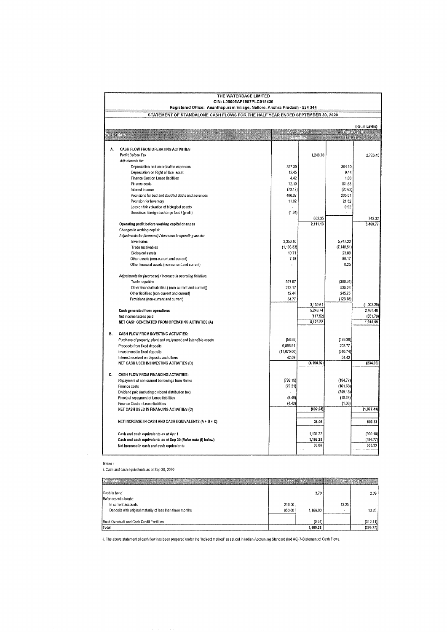|                                                                               | THE WATERBASE LIMITED<br>CIN: L05005AP1987PLC018436<br>Registered Office: Ananthapuram Village, Nellore, Andhra Pradesh - 524 344 |                           |             |             |                                     |  |  |  |  |
|-------------------------------------------------------------------------------|-----------------------------------------------------------------------------------------------------------------------------------|---------------------------|-------------|-------------|-------------------------------------|--|--|--|--|
| STATEMENT OF STANDALONE CASH FLOWS FOR THE HALF YEAR ENDED SEPTEMBER 30, 2020 |                                                                                                                                   |                           |             |             |                                     |  |  |  |  |
|                                                                               | (Rs. in Lakhs)                                                                                                                    |                           |             |             |                                     |  |  |  |  |
| Zinghar                                                                       |                                                                                                                                   | <b>Standard Committee</b> | TIKO WI     |             | <b>Shelizion</b><br><b>Sham</b> bar |  |  |  |  |
| А.                                                                            | CASH FLOW FROM OPERATING ACTIVITIES                                                                                               |                           |             |             |                                     |  |  |  |  |
|                                                                               | Profit Before Tax                                                                                                                 |                           | 1,248.78    |             | 2,726.45                            |  |  |  |  |
|                                                                               | Adjustments for:                                                                                                                  |                           |             |             |                                     |  |  |  |  |
|                                                                               | Depreciation and amortisation expenses                                                                                            | 357.30                    |             | 364.10      |                                     |  |  |  |  |
|                                                                               | Depreciation on Right of Use asset                                                                                                | 12.45                     |             | 9.44        |                                     |  |  |  |  |
|                                                                               | Finance Cost on Lease liabilities                                                                                                 | 4.42                      |             | 1.03        |                                     |  |  |  |  |
|                                                                               | Finance costs                                                                                                                     | 72.10                     |             | 161.63      |                                     |  |  |  |  |
|                                                                               | Interest income                                                                                                                   | (73.17)                   |             | (20.63)     |                                     |  |  |  |  |
|                                                                               | Provisions for bad and doubtful debts and advances                                                                                | 480.07                    |             | 205.51      |                                     |  |  |  |  |
|                                                                               | Provision for Inventory                                                                                                           | 11.02                     |             | 21.32       |                                     |  |  |  |  |
|                                                                               | Loss on fair valuation of biological assets                                                                                       |                           |             | 0.92        |                                     |  |  |  |  |
|                                                                               | Unrealised foreign exchange loss / (profit)                                                                                       | (1.84)                    |             |             |                                     |  |  |  |  |
|                                                                               |                                                                                                                                   |                           | 862.35      |             | 743.32                              |  |  |  |  |
|                                                                               | Operating profit before working capital changes                                                                                   |                           | 2,111.13    |             | 3.469.77                            |  |  |  |  |
|                                                                               | Changes in working capital:                                                                                                       |                           |             |             |                                     |  |  |  |  |
|                                                                               | Adjustments for (increase) / decrease in operating assets:                                                                        |                           |             |             |                                     |  |  |  |  |
|                                                                               | Inventories                                                                                                                       | 3,353.10                  |             | 5,747.22    |                                     |  |  |  |  |
|                                                                               | Trade receivables                                                                                                                 | (1, 105.33)               |             | (7, 140.51) |                                     |  |  |  |  |
|                                                                               | <b>Biological assets</b>                                                                                                          | 10.71                     |             | 23.09       |                                     |  |  |  |  |
|                                                                               | Other assets (non-current and current)                                                                                            | 7.18                      |             | 98.17       |                                     |  |  |  |  |
|                                                                               | Other financial assets (non-current and current)                                                                                  |                           |             | 0.25        |                                     |  |  |  |  |
|                                                                               | Adjustments for (decrease) / increase in operating liabilities:                                                                   |                           |             |             |                                     |  |  |  |  |
|                                                                               | Trade payables                                                                                                                    | 527.57                    |             | (388.34)    |                                     |  |  |  |  |
|                                                                               | Other financial liabilities ( (non-current and current))                                                                          | 272.17                    |             | 535.26      |                                     |  |  |  |  |
|                                                                               | Other liabilities (non-current and current)                                                                                       | 12.44                     |             | 245.75      |                                     |  |  |  |  |
|                                                                               | Provisions (non-current and current)                                                                                              | 54.77                     |             | (123.18)    |                                     |  |  |  |  |
|                                                                               |                                                                                                                                   |                           | 3,132.61    |             | (1,002.29)                          |  |  |  |  |
|                                                                               | Cash generated from operations                                                                                                    |                           | 5,243.74    |             | 2,467.48                            |  |  |  |  |
|                                                                               | Net income taxses paid                                                                                                            |                           | (117.52)    |             | (551.79)                            |  |  |  |  |
|                                                                               | NET CASH GENERATED FROM OPERATING ACTIVITIES (A)                                                                                  |                           | 5,126.22    |             | 1,915.69                            |  |  |  |  |
| В.                                                                            | CASH FLOW FROM INVESTING ACTIVITIES:                                                                                              |                           |             |             |                                     |  |  |  |  |
|                                                                               | Purchase of property, plant and equipment and intangible assets                                                                   | (58.92)                   |             | (179.38)    |                                     |  |  |  |  |
|                                                                               | Proceeds from fixed deposits                                                                                                      | 6.895.91                  |             | 203.77      |                                     |  |  |  |  |
|                                                                               | Investmenst in fixed deposits                                                                                                     | (11, 075.00)              |             | (310.74)    |                                     |  |  |  |  |
|                                                                               | Interest received on deposits and others                                                                                          | 42.09                     |             | 51.42       |                                     |  |  |  |  |
|                                                                               | NET CASH USED IN INVESTING ACTIVITIES (B)                                                                                         |                           | (4, 195.92) |             | (234.93)                            |  |  |  |  |
| C.                                                                            | CASH FLOW FROM FINANCING ACTIVITIES:                                                                                              |                           |             |             |                                     |  |  |  |  |
|                                                                               | Repayment of non-current borrowings from Banks                                                                                    | (799.15)                  |             | (154.77)    |                                     |  |  |  |  |
|                                                                               | Finance costs                                                                                                                     | (79.21)                   |             | (161.63)    |                                     |  |  |  |  |
|                                                                               | Dividend paid (including dividend distribution tax)                                                                               |                           |             | (749.13)    |                                     |  |  |  |  |
|                                                                               | Principal repayment of Lease liabilities                                                                                          | (9.46)                    |             | (10.87)     |                                     |  |  |  |  |
|                                                                               | Finance Cost on Lease liabilities                                                                                                 | (4.42)                    |             | (1.03)      |                                     |  |  |  |  |
|                                                                               | NET CASH USED IN FINANCING ACTIVITIES (C)                                                                                         |                           | (892.24)    |             | (1,077.43)                          |  |  |  |  |
|                                                                               |                                                                                                                                   |                           |             |             |                                     |  |  |  |  |
|                                                                               | NET INCREASE IN CASH AND CASH EQUIVALENTS (A + B + C)                                                                             |                           | 38.06       |             | 603.33                              |  |  |  |  |
|                                                                               | Cash and cash equivalents as at Apr 1                                                                                             |                           | 1,131.22    |             | (900.10)                            |  |  |  |  |
|                                                                               | Cash and cash equivalents as at Sep 30 (Refer note (i) below)                                                                     |                           | 1,169.28    |             | (296.77)                            |  |  |  |  |
|                                                                               | Net Increase in cash and cash equivalents                                                                                         |                           | 38.06       |             | 603.33                              |  |  |  |  |
|                                                                               |                                                                                                                                   |                           |             |             |                                     |  |  |  |  |

Notes: i. Cash and cash equivalents as at Sep 30, 2020

|                                                                                  |                  | <b>PROVIDER</b>    |       |                      |
|----------------------------------------------------------------------------------|------------------|--------------------|-------|----------------------|
| Cash in hand                                                                     |                  | 3.79               |       | 2.09                 |
| Balances with banks:                                                             |                  |                    |       |                      |
| In current accounts<br>Deposits with original maturity of less than three months | 216.00<br>950.00 | 1,166.00           | 13.25 | 13.25                |
|                                                                                  |                  |                    |       |                      |
| Bank Overdraft and Cash Credit Facilities<br>Total                               |                  | (0.51)<br>1,169.28 |       | (312.11)<br>(296.77) |

ii. The above statement of cash flow has been prepared under the 'Indirect method' as set out in Indian Accounting Standard (Ind AS) 7-Statement of Cash Flows.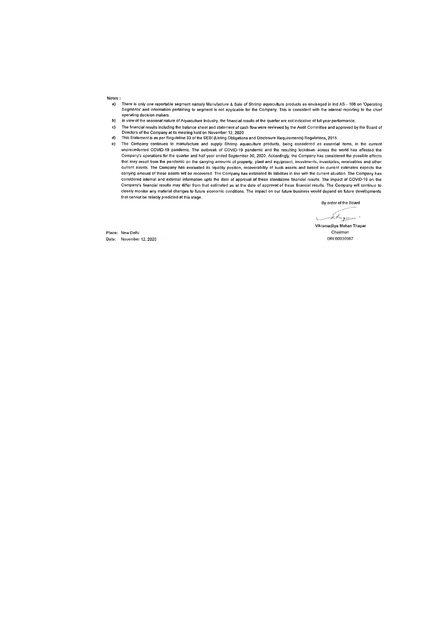Notes:

- a) There is only one reportable segment namely Manufacture & Sale of Shrimp aquaculture products as envisaged in Ind AS - 108 on 'Operating Segments' and information pertaining to segment is not applicable for the Company. This is consistent with the internal reporting to the chief operating decision makers.
- b) In view of the seasonal nature of Aquaculture Industry, the financial results of the quarter are not indicative of full year performance.
- c) The financial results including the balance sheet and statement of cash flow were reviewed by the Audit Committee and approved by the Board of
- d) Directors of the Company at its meeting held on November 12, 2020 This Statement is as per Regulation 33 of the SEBI (listing Obligations and Disclosure Requirements) Regulations, 2015.
- e) The Company continues to manufacture and supply Shrimp aquaculture products, being considered as essential items, in the current unprecedented COVID-19 pandemic. The outbreak of COVID-19 pandemic and the resulting lockdown across the world has affected the Company's operations for the quarter and half year ended September 30, 2020. Accordingly, the Company has considered the possible effects that may result from the pandemic on the carrying amounts of property, plant and equipment, investments, inventories, receivables and other current assets. The Company has evaluated its liquidity position, recoverability of such assets and based on current estimates expects the carrying amount of these assets will be recovered. The Company has estimated its liabilities in line with the current situation. The Company has considered internal and external information upto the date of approval of these standalone financial results. The impact of COVID-19 on the Company's financial results may differ from that estimated as at the date of approval of these financial results. The Company will continue to<br>closely monitor any material changes to future economic conditions. The impact that cannot be reliably predicted at this stage.

By order of the Board

ricum de la gregoria

Vikramaditya Mohan Thapar Chairman

Place: New Delhi Date: November 12, 2020 DIN:00030967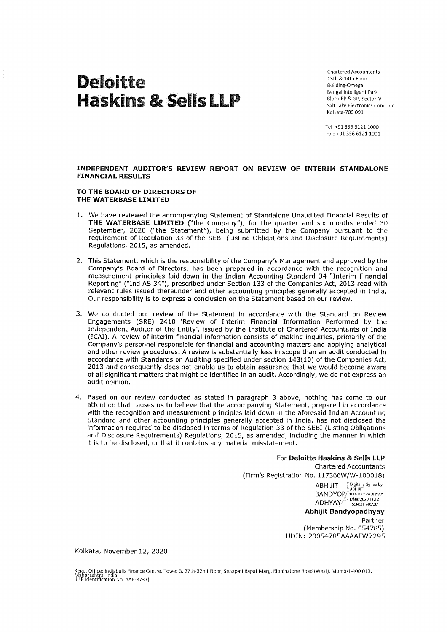# Deloitte Haskins & Sells LLP

Chartered Accountants 13th & 14th Floor Building-Omega Bengal Intelligent Park Block-EP & GP, Sector-V Salt Lake Electronics Complex Kolkata-700 091

Tel: +91 336 6121 1000 Fax: +91 336 6121 1001

**INDEPENDENT AUDITOR'S REVIEW REPORT ON REVIEW OF INTERIM STANDALONE FINANCIAL RESULTS** 

#### **TO THE BOARD OF DIRECTORS OF THE WATERBASE LIMITED**

- 1. We have reviewed the accompanying Statement of Standalone Unaudited Financial Results of **THE WATERBASE LIMITED** ("the Company"), for the quarter and six months ended 30 September, 2020 ("the Statement"), being submitted by the Company pursuant to the requirement of Regulation 33 of the SEBI (Listing Obligations and Disclosure Requirements) Regulations, 2015, as amended.
- 2. This Statement, which is the responsibility of the Company's Management and approved by the Company's Board of Directors, has been prepared in accordance with the recognition and measurement principles laid down in the Indian Accounting Standard 34 "Interim Financial Reporting" ("Ind AS 34"), prescribed under Section 133 of the Companies Act, 2013 read with relevant rules issued thereunder and other accounting principles generally accepted in India. Our responsibility is to express a conclusion on the Statement based on our review.
- 3. We conducted our review of the Statement in accordance with the Standard on Review Engagements (SRE) 2410 'Review of Interim financial Information Performed by the Independent Auditor of the Entity', issued by the Institute of Chartered Accountants of India (ICAI). A review of interim financial information consists of making inquiries, primarily of the Company's personnel responsible for financial and accounting matters and applying analytical and other review procedures. A review is substantially less in scope than an audit conducted in accordance with Standards on Auditing specified under section 143(10) of the Companies Act, 2013 and consequently does not enable us to obtain assurance that we would become aware of all significant matters that might be identified in an audit. Accordingly, we do not express an audit opinion.
- 4. Based on our review conducted as stated in paragraph 3 above, nothing has come to our attention that causes us to believe that the accompanying Statement, prepared in accordance with the recognition and measurement principles **laid** down in the aforesaid Indian Accounting Standard and other accounting principles generally accepted in India, has not disclosed the information required to be disclosed in terms of Regulation 33 of the SEBI (Listing Obligations and Disclosure Requirements) Regulations, 2015, as amended, including the manner in which it is to be disclosed, or that it contains any material misstatement.

For **Deloitte Haskins** & **Sells LLP**  Chartered Accountants (Firm's Registration No. 117366W/W-100018) ABHIJIT  $\bigcirc$  Digitally signed by BANDYOP<sup>e</sup> BANDYOPADHYAY ADHYAY . ~;~•;~~ :o~~3~~ **Abhijit Bandyopadhyay**  Partner (Membership No. 054785) UDIN: 20054785AAAAFW7295

Kolkata, November 12, 2020

Regd. Office: Indiabulls Finance Centre, Tower 3, 27th-32nd Floor, Senapati Bapat Marg, Elphinstone Road (West), Mumbai-400 013,<br>Maharashtra, India.<br>(LLP Identification No. AAB-8737)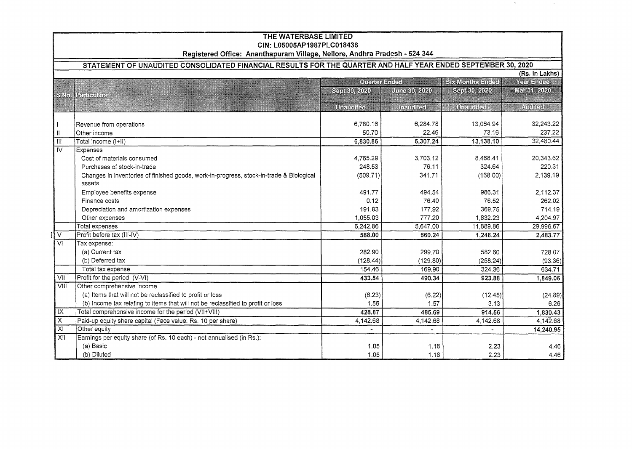|                            | <b>THE WATERBASE LIMITED</b>                                               |  |  |  |
|----------------------------|----------------------------------------------------------------------------|--|--|--|
| CIN: L05005AP1987PLC018436 |                                                                            |  |  |  |
|                            | Registered Office: Ananthapuram Village, Nellore, Andhra Pradesh - 524 344 |  |  |  |

 $\rightarrow$ 

### **STATEMENT OF UNAUDITED CONSOLIDATED FINANCIAL RESULTS FOR THE QUARTER AND HALF YEAR ENDED SEPTEMBER 30, 2020**

|                         | (Rs. in Lakhs)<br><b>SK Montas Enclas</b>                                                         |                     |              |                     |                    |  |  |
|-------------------------|---------------------------------------------------------------------------------------------------|---------------------|--------------|---------------------|--------------------|--|--|
|                         |                                                                                                   | <b>Cuther Ended</b> | Year England |                     |                    |  |  |
|                         | <b>SATO   PARTICULARE</b>                                                                         | SHIKID ADAD         | Unis 60 2020 | SIIKU ZPU           | <b>MET 51 2020</b> |  |  |
|                         |                                                                                                   | <b>Unamentaci</b>   | Uranda       | <b>TITELE STATE</b> | <b>Alence</b>      |  |  |
|                         | Revenue from operations                                                                           | 6,780.16            | 6.284.78     | 13.064.94           | 32.243.22          |  |  |
| $\mathbf{  }$           | Other income                                                                                      | 50.70               | 22.46        | 73.16               | 237.22             |  |  |
| $\overline{\mathbb{H}}$ | Total income (I+II)                                                                               | 6,830.86            | 6,307.24     | 13,138.10           | 32,480.44          |  |  |
| $\overline{N}$          | <b>Expenses</b>                                                                                   |                     |              |                     |                    |  |  |
|                         | Cost of materials consumed                                                                        | 4,765.29            | 3,703.12     | 8,468.41            | 20,343.62          |  |  |
|                         | Purchases of stock-in-trade                                                                       | 248.53              | 76.11        | 324.64              | 220.31             |  |  |
|                         | Changes in inventories of finished goods, work-in-progress, stock-in-trade & Biological<br>assets | (509.71)            | 341.71       | (168.00)            | 2,139.19           |  |  |
|                         | Employee benefits expense                                                                         | 491.77              | 494.54       | 986.31              | 2,112.37           |  |  |
|                         | Finance costs                                                                                     | 0.12                | 76.40        | 76.52               | 262.02             |  |  |
|                         | Depreciation and amortization expenses                                                            | 191.83              | 177.92       | 369.75              | 714.19             |  |  |
|                         | Other expenses                                                                                    | 1,055.03            | 777.20       | 1,832.23            | 4,204.97           |  |  |
|                         | Total expenses                                                                                    | 6,242.86            | 5,647.00     | 11,889.86           | 29,996.67          |  |  |
| $\overline{V}$          | Profit before tax (III-IV)                                                                        | 588.00              | 660.24       | 1,248.24            | 2,483.77           |  |  |
| $\overline{w}$          | Tax expense:                                                                                      |                     |              |                     |                    |  |  |
|                         | (a) Current tax                                                                                   | 282.90              | 299.70       | 582.60              | 728.07             |  |  |
|                         | (b) Deferred tax                                                                                  | (128.44)            | (129.80)     | (258.24)            | (93.36)            |  |  |
|                         | Total tax expense                                                                                 | 154.46              | 169.90       | 324.36              | 634.71             |  |  |
| VII                     | Profit for the period (V-VI)                                                                      | 433.54              | 490.34       | 923.88              | 1,849.06           |  |  |
| VIII                    | Other comprehensive income                                                                        |                     |              |                     |                    |  |  |
|                         | (a) Items that will not be reclassified to profit or loss                                         | (6.23)              | (6.22)       | (12.45)             | (24.89)            |  |  |
|                         | (b) Income tax relating to items that will not be reclassified to profit or loss                  | 1.56                | 1.57         | 3.13                | 6.26               |  |  |
| IX                      | Total comprehensive income for the period (VII+VIII)                                              | 428.87              | 485.69       | 914.56              | 1.830.43           |  |  |
| $\overline{\mathsf{x}}$ | Paid-up equity share capital (Face value: Rs. 10 per share)                                       | 4,142.68            | 4,142.68     | 4,142.68            | 4,142.68           |  |  |
| $\overline{X}$          | Other equity                                                                                      |                     |              |                     | 14,240.95          |  |  |
| XII                     | Earnings per equity share (of Rs. 10 each) - not annualised (in Rs.):                             |                     |              |                     |                    |  |  |
|                         | (a) Basic                                                                                         | 1.05                | 1.18         | 2.23                | 4.46               |  |  |
|                         | (b) Diluted                                                                                       | 1.05                | 1.18         | 2.23                | 4.46               |  |  |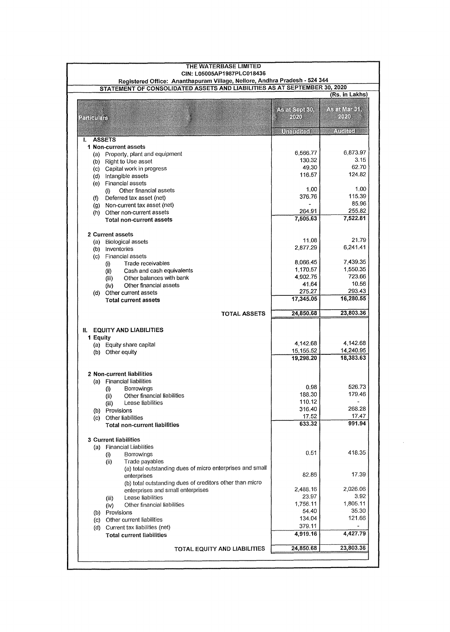|                        | THE WATERBASE LIMITED                                                                                    |                         |                       |
|------------------------|----------------------------------------------------------------------------------------------------------|-------------------------|-----------------------|
|                        | CIN: L05005AP1987PLC018436<br>Registered Office: Ananthapuram Village, Nellore, Andhra Pradesh - 524 344 |                         |                       |
|                        | STATEMENT OF CONSOLIDATED ASSETS AND LIABILITIES AS AT SEPTEMBER 30, 2020                                |                         |                       |
|                        |                                                                                                          |                         | (Rs. in Lakhs)        |
|                        |                                                                                                          |                         |                       |
|                        |                                                                                                          | A-atSaata               | 不是我们有必须               |
| <b>Santonials</b>      |                                                                                                          | 7070                    | (10)                  |
|                        |                                                                                                          | Unamelical              | <b>Atolicul</b>       |
| I.                     | <b>ASSETS</b>                                                                                            |                         |                       |
|                        | 1 Non-current assets                                                                                     |                         |                       |
|                        | (a) Property, plant and equipment                                                                        | 6,566.77                | 6,873.97              |
|                        | (b) Right to Use asset                                                                                   | 130.32                  | 3.15                  |
|                        | (c) Capital work in progress                                                                             | 49.30                   | 62.70                 |
|                        | (d) Intangible assets                                                                                    | 116.57                  | 124.82                |
|                        | (e) Financial assets                                                                                     |                         |                       |
|                        | Other financial assets<br>(i)                                                                            | 1.00                    | 1.00                  |
|                        | (f) Deferred tax asset (net)                                                                             | 376.76                  | 115.39                |
|                        | (g) Non-current tax asset (net)                                                                          |                         | 85.96                 |
|                        | (h) Other non-current assets                                                                             | 264.91                  | 255.82<br>7,522.81    |
|                        | Total non-current assets                                                                                 | 7,505.63                |                       |
|                        | 2 Current assets                                                                                         |                         |                       |
|                        | (a) Biological assets                                                                                    | 11.08                   | 21.79                 |
|                        | (b) Inventories                                                                                          | 2,877.29                | 6,241.41              |
| $\left( \circ \right)$ | <b>Financial assets</b>                                                                                  |                         |                       |
|                        | Trade receivables<br>(i)                                                                                 | 8,066.45                | 7,439.35              |
|                        | Cash and cash equivalents<br>(ii)                                                                        | 1,170.57                | 1,550.35              |
|                        | Other balances with bank<br>(iii)                                                                        | 4,902.75                | 723.66                |
|                        | Other financial assets<br>(iv)                                                                           | 41.64                   | 10.56                 |
|                        | (d) Other current assets                                                                                 | 275.27                  | 293.43                |
|                        | <b>Total current assets</b>                                                                              | 17,345.05               | 16,280.55             |
|                        | <b>TOTAL ASSETS</b>                                                                                      | 24,850.68               | 23,803.36             |
|                        |                                                                                                          |                         |                       |
| и.                     | <b>EQUITY AND LIABILITIES</b>                                                                            |                         |                       |
| 1 Equity               |                                                                                                          |                         |                       |
|                        | (a) Equity share capital                                                                                 | 4.142.68                | 4,142.68<br>14,240.95 |
|                        | (b) Other equity                                                                                         | 15, 155.52<br>19,298.20 | 18,383.63             |
|                        |                                                                                                          |                         |                       |
|                        | 2 Non-current liabilities                                                                                |                         |                       |
|                        | (a) Financial liabilities                                                                                |                         |                       |
|                        | Borrowings<br>$\left( i\right)$                                                                          | 0.98                    | 526.73                |
|                        | Other financial liabilities<br>(i)                                                                       | 188.30                  | 179.46                |
|                        | Lease liabilities<br>(iii)                                                                               | 110.12                  |                       |
|                        | (b) Provisions                                                                                           | 316.40                  | 268.28                |
|                        | (c) Other liabilities                                                                                    | 17.52                   | 17.47                 |
|                        | <b>Total non-current liabilities</b>                                                                     | 633.32                  | 991.94                |
|                        | <b>3 Current liabilities</b>                                                                             |                         |                       |
|                        | (a) Financial Liabilities                                                                                |                         |                       |
|                        | Borrowings<br>$\langle i \rangle$                                                                        | 0.51                    | 418.35                |
|                        | Trade payables<br>(i)                                                                                    |                         |                       |
|                        | (a) total outstanding dues of micro enterprises and small                                                |                         |                       |
|                        | enterprises                                                                                              | 82.86                   | 17.39                 |
|                        | (b) total outstanding dues of creditors other than micro                                                 |                         |                       |
|                        | enterprises and small enterprises                                                                        | 2,488.16                | 2,026.06              |
|                        | Lease liabilities<br>(iii)                                                                               | 23,97                   | 3.92                  |
|                        | Other financial liabilities<br>(iv)                                                                      | 1,756.11                | 1,805.11              |
|                        | (b) Provisions                                                                                           | 54.40                   | 35.30                 |
| (c)                    | Other current liabilities                                                                                | 134.04                  | 121.66                |
|                        | (d) Current tax liabilities (net)                                                                        | 379.11                  |                       |
|                        | <b>Total current liabilities</b>                                                                         | 4,919.16                | 4,427.79              |
|                        | TOTAL EQUITY AND LIABILITIES                                                                             | 24,850.68               | 23,803.36             |
|                        |                                                                                                          |                         |                       |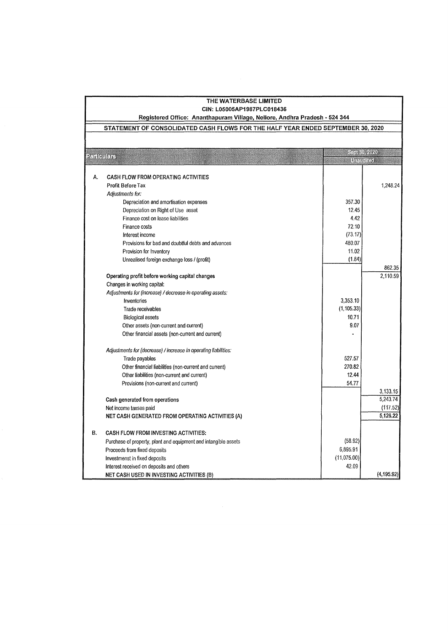|                | THE WATERBASE LIMITED<br>CIN: L05005AP1987PLC018436                             |             |             |
|----------------|---------------------------------------------------------------------------------|-------------|-------------|
|                | Registered Office: Ananthapuram Village, Nellore, Andhra Pradesh - 524 344      |             |             |
|                | STATEMENT OF CONSOLIDATED CASH FLOWS FOR THE HALF YEAR ENDED SEPTEMBER 30, 2020 |             |             |
|                |                                                                                 |             |             |
| <b>Rudomar</b> |                                                                                 |             | See 30 2020 |
|                |                                                                                 |             | Unauditori  |
| А.             | <b>CASH FLOW FROM OPERATING ACTIVITIES</b>                                      |             |             |
|                | <b>Profit Before Tax</b>                                                        |             | 1,248.24    |
|                | Adjustments for:                                                                |             |             |
|                | Depreciation and amortisation expenses                                          | 357.30      |             |
|                | Depreciation on Right of Use asset                                              | 12.45       |             |
|                | Finance cost on lease liabilities                                               | 442         |             |
|                | Finance costs                                                                   | 72.10       |             |
|                | Interest income                                                                 | (73.17)     |             |
|                | Provisions for bad and doubtful debts and advances                              | 480.07      |             |
|                | Provision for Inventory                                                         | 11.02       |             |
|                | Unrealised foreign exchange loss / (profit)                                     | (1.84)      |             |
|                |                                                                                 |             | 862.35      |
|                | Operating profit before working capital changes                                 |             | 2,110.59    |
|                | Changes in working capital:                                                     |             |             |
|                | Adjustments for (increase) / decrease in operating assets:                      |             |             |
|                | Inventories                                                                     | 3,353.10    |             |
|                | Trade receivables                                                               | (1, 105.33) |             |
|                | <b>Biological assets</b>                                                        | 10.71       |             |
|                | Other assets (non-current and current)                                          | 9.07        |             |
|                |                                                                                 |             |             |
|                | Other financial assets (non-current and current)                                |             |             |
|                | Adjustments for (decrease) / increase in operating liabilities:                 |             |             |
|                | Trade payables                                                                  | 527.57      |             |
|                | Other financial liabilities (non-current and current)                           | 270.82      |             |
|                | Other liabilities (non-current and current)                                     | 12.44       |             |
|                | Provisions (non-current and current)                                            | 54.77       |             |
|                |                                                                                 |             | 3,133.15    |
|                | Cash generated from operations                                                  |             | 5.243.74    |
|                | Net income taxses paid                                                          |             | (117.52)    |
|                | NET CASH GENERATED FROM OPERATING ACTIVITIES (A)                                |             | 5,126.22    |
| В.             | <b>CASH FLOW FROM INVESTING ACTIVITIES:</b>                                     |             |             |
|                | Purchase of property, plant and equipment and intangible assets                 | (58.92)     |             |
|                | Proceeds from fixed deposits                                                    | 6,895.91    |             |
|                | Investmenst in fixed deposits                                                   | (11,075.00) |             |
|                | Interest received on deposits and others                                        | 42.09       |             |
|                | <b>NET CASH USED IN INVESTING ACTIVITIES (B)</b>                                |             | (4, 195.92) |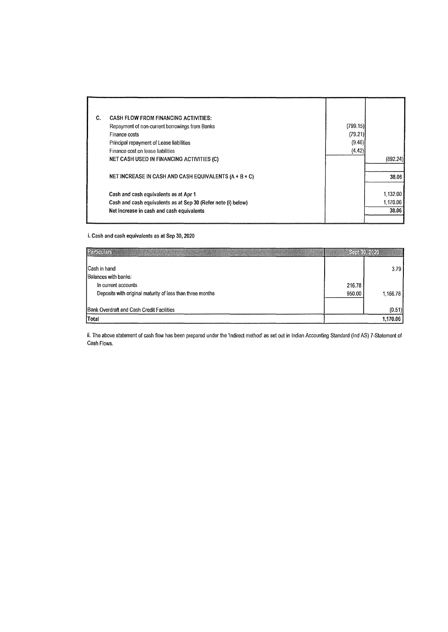| C. | <b>CASH FLOW FROM FINANCING ACTIVITIES:</b>                   |          |          |
|----|---------------------------------------------------------------|----------|----------|
|    | Repayment of non-current borrowings from Banks                | (799.15) |          |
|    | Finance costs                                                 | (79.21)  |          |
|    | Principal repayment of Lease liabilities                      | (9.46)   |          |
|    | Finance cost on lease liabilities                             | (4.42)   |          |
|    | NET CASH USED IN FINANCING ACTIVITIES (C)                     |          | (892.24) |
|    | NET INCREASE IN CASH AND CASH EQUIVALENTS $(A + B + C)$       |          | 38.06    |
|    | Cash and cash equivalents as at Apr 1                         |          | 1,132.00 |
|    | Cash and cash equivalents as at Sep 30 (Refer note (i) below) |          | 1,170.06 |
|    | Net increase in cash and cash equivalents                     |          | 38.06    |
|    |                                                               |          |          |

i. **Cash and cash equivalents as at Sep 30, 2020** 

| <b>E25 MADE NEW</b>                                       |        | SSSKII AVA |
|-----------------------------------------------------------|--------|------------|
| Cash in hand                                              |        | 3.79       |
| Balances with banks:<br>In current accounts               | 216.78 |            |
| Deposits with original maturity of less than three months | 950.00 | 1,166.78   |
| Bank Overdraft and Cash Credit Facilities                 |        | (0.51)     |
| Total                                                     |        | 1,170.06   |

ii. The above statement of cash flow has been prepared under the 'Indirect method' as set out in Indian Accounting Standard (Ind AS) 7-Statement of Cash Flows.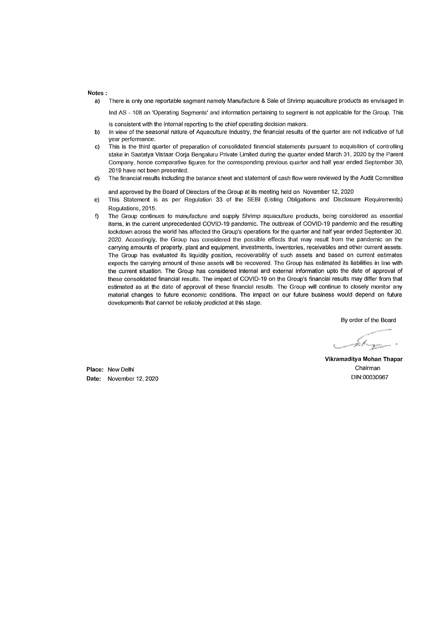#### **Notes:**

a) There is only one reportable segment namely Manufacture & Sale of Shrimp aquaculture products as envisaged in

Ind AS - 108 on 'Operating Segments' and information pertaining to segment is not applicable for the Group. This is consistent with the internal reporting to the chief operating decision makers.

- b) In view of the seasonal nature of Aquaculture Industry, the financial results of the quarter are not indicative of full year performance.
- c) This is the third quarter of preparation of consolidated financial statements pursuant to acquisition of controlling stake in Saatatya Vistaar Oorja Bengaluru Private Limited during the quarter ended March 31, 2020 by the Parent Company, hence comparative figures for the corresponding previous quarter and half year ended September 30, 2019 have not been presented.
- d) The financial results including the balance sheet and statement of cash flow were reviewed by the Audit Committee

and approved by the Board of Directors of the Group at its meeting held on November 12, 2020

- e) This Statement is as per Regulation 33 of the SEBI (Listing Obligations and Disclosure Requirements) Regulations, 2015.
- f) The Group continues to manufacture and supply Shrimp aquaculture products, being considered as essential items, in the current unprecedented COVID-19 pandemic. The outbreak of COVID-19 pandemic and the resulting lockdown across the world has affected the Group's operations for the quarter and half year ended September 30, 2020. Accordingly, the Group has considered the possible effects that may result from the pandemic on the carrying amounts of property, plant and equipment, investments, inventories, receivables and other current assets. The Group has evaluated its liquidity position, recoverability of such assets and based on current estimates expects the carrying amount of these assets **will** be recovered. The Group has estimated its liabilities in line with the current situation. The Group has considered internal and external information upto the date of approval of these consolidated financial results. The impact of COVID-19 on the Group's financial results may differ from that estimated as at the date of approval of these financial results. The Group will continue to closely monitor any material changes to future economic conditions. The impact on our future business would depend on future developments that cannot be reliably predicted at this stage.

By order of the Board

**Vikramaditya Mohan Thapar**  Chairman DIN:00030967

**Place:** New Delhi **Date:** November 12, 2020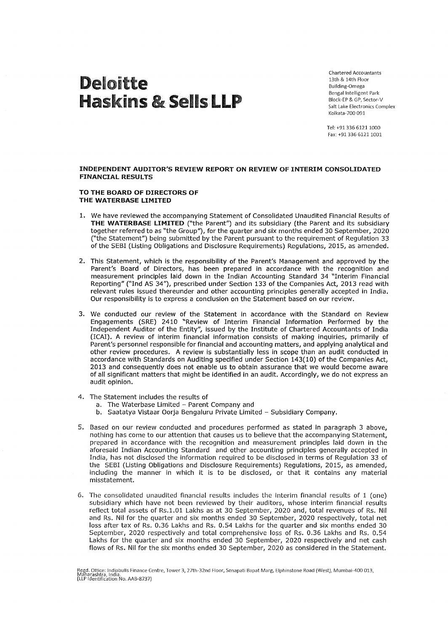# Deloitte Haskins & Sells LLP

Chartered Accountants 13th & 14th Floor Building-Omega Bengal Intelligent Park Block-EP & GP, Sector-V Salt Lake Electronics Complex Kolkata-700 091

Tel: +91 336 6121 1000 Fax: +91 336 61211001

#### **INDEPENDENT AUDITOR'S REVIEW REPORT ON REVIEW OF INTERIM CONSOLIDATED FINANCIAL RESULTS**

#### **TO THE BOARD OF DIRECTORS OF THE WATERBASE LIMITED**

- 1. We have reviewed the accompanying Statement of Consolidated Unaudited Financial Results of **THE WATERBASE LIMITED** ("the Parent") and its subsidiary (the Parent and its subsidiary together referred to as "the Group"), for the quarter and six months ended 30 September, 2020 ("the Statement") being submitted by the Parent pursuant to the requirement of Regulation 33 of the SEBI (Listing Obligations and Disclosure Requirements) Regulations, 2015, as amended.
- 2. This Statement, which is the responsibility of the Parent's Management and approved by the Parent's Board of Directors, has been prepared in accordance with the recognition and measurement principles laid down in the Indian Accounting Standard 34 "Interim Financial Reporting" ("Ind AS 34"), prescribed under Section 133 of the Companies Act, 2013 read with relevant rules issued thereunder and other accounting principles generally accepted in India. Our responsibility is to express a conclusion on the Statement based on our review.
- 3. We conducted our review of the Statement in accordance with the Standard on Review Engagements (SRE) 2410 "Review of Interim Financial Information Performed by the Independent Auditor of the Entity", issued by the Institute of Chartered Accountants of India (!CAI). A review of interim financial information consists of making inquiries, primarily of Parent's personnel responsible for financial and accounting matters, and applying analytical and other review procedures. A review is substantially less in scope than an audit conducted in accordance with Standards on Auditing specified under Section 143(10) of the Companies Act, 2013 and consequently does not enable us to obtain assurance that we would become aware of all significant matters that might be identified in an audit. Accordingly, we do not express an audit opinion.
- 4. The Statement includes the results of
	- a. The Waterbase Limited Parent Company and
	- b. Saatatya Vistaar Oorja Bengaluru Private Limited Subsidiary Company.
- 5. Based on our review conducted and procedures performed as stated in paragraph 3 above, nothing has come to our attention that causes us to believe that the accompanying Statement, prepared in accordance with the recognition and measurement principles laid down in the aforesaid Indian Accounting Standard and other accounting principles generally accepted in India, has not disclosed the information required to be disclosed in terms of Regulation 33 of the SEBI (Listing Obligations and Disclosure Requirements) Regulations, 2015, as amended, including the manner in which it is to be disclosed, or that it contains any material misstatement.
- 6. The consolidated unaudited financial results includes the interim financial results of 1 (one) subsidiary which have not been reviewed by their auditors, whose interim financial results reflect total assets of Rs.1.01 Lakhs as at 30 September, 2020 and, total revenues of Rs. Nil and Rs. Nil for the quarter and six months ended 30 September, 2020 respectively, total net loss after tax of Rs. 0.36 Lakhs and Rs. 0.54 Lakhs for the quarter and six months ended 30 September, 2020 respectively and total comprehensive loss of Rs. 0.36 Lakhs and Rs. 0.54 Lakhs for the quarter and six months ended 30 September, 2020 respectively and net cash flows of Rs. Nil for the six months ended 30 September, 2020 as considered in the Statement.

Regd. Office: Indiabulls Finance Centre, Tower 3, 27th-32nd Floor, Senapati Bapat Marg, Elphinstone Road (West), Mumbai-400 013,<br>Maharashtra, India.<br>(LLP Identification No. AAB-8737)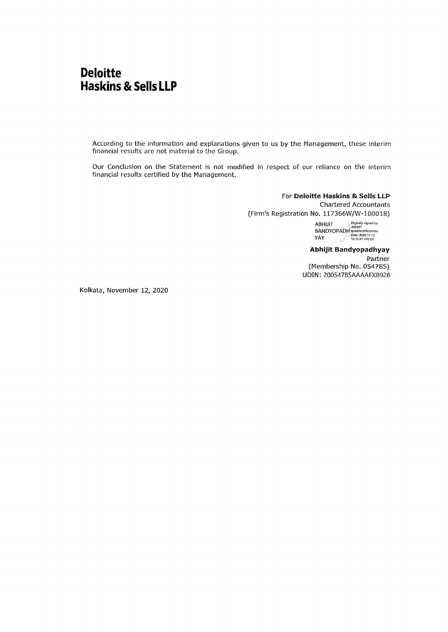## **Deloitte Haskins & Sells LLP**

According to the information and explanations given to us by the Management, these interim financial results are not material to the Group.

Our Conclusion on the Statement is not modified in respect of our reliance on the interim financial results certified by the Management.

> For **Deloitte Haskins & Sells LLP**  Chartered Accountants (Firm's Registration No. 117366W/W-100018)

> > $ABHJIT$   $\frac{Digitally~signed~by}{ABHJIT}$ BANDYOPADH<sup>8</sup>BANDYOPADHYAY<br>16:10:41 +05:30<sup>,</sup> 16:10:41 +05:30<sup>,</sup>

**Abhijit Bandyopadhyay**  Partner (Membership No. 054785) UDIN: 20054785AAAAFX8928

Kolkata, November 12, 2020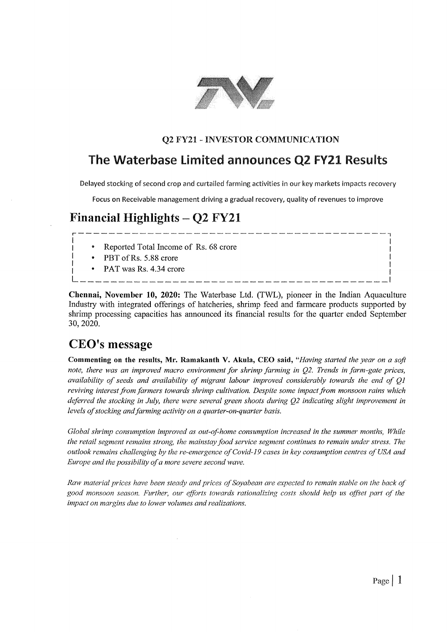

### **Q2 FY21** - **INVESTOR COMMUNICATION**

### The Waterbase Limited announces Q2 FY21 Results

Delayed stocking of second crop and curtailed farming activities in our key markets impacts recovery

Focus on Receivable management driving a gradual recovery, quality of revenues to improve

# Financial Highlights  $-$  Q2 FY21 r----------------------------------------7

- I<br>
I Reported Total Income of Rs. 68 crore I
	- PBT of Rs. 5.88 crore
- I I I PAT was Rs. 4.34 crore <sup>I</sup>L \_\_\_\_\_\_\_\_\_\_\_\_\_\_\_\_\_\_\_\_\_\_\_\_\_\_\_\_\_\_\_\_\_\_\_\_\_\_\_\_ <sup>I</sup>

**Chennai, November 10, 2020:** The Waterbase Ltd. (TWL), pioneer in the Indian Aquaculture Industry with integrated offerings of hatcheries, shrimp feed and fanncare products supported by shrimp processing capacities has announced its financial results for the quarter ended September 30, 2020.

### **CEO's message**

**Commenting on the results, Mr. Ramakanth V. Akula, CEO said,** *"Having started the year on a soft note, there was an improved macro environment for shrimp farming in Q2. Trends in farm-gate prices, availability of seeds and availability of migrant labour improved considerably towards the end of QI*  reviving interest from farmers towards shrimp cultivation. Despite some impact from monsoon rains which *deferred the stocking in July, there were several green shoots during Q2 indicating slight improvement in levels of stocking and farming activity on a quarter-on-quarter basis.* 

*Global shrimp consumption improved as out-of-home consumption increased in the summer months, While the retail segment remains strong, the mainstay food service segment continues to remain under stress. The outlook remains challenging by the re-emergence of Covid-19 cases in key consumption centres of USA and Europe and the possibility of a more severe second wave.* 

Raw material prices have been steady and prices of Soyabean are expected to remain stable on the back of *good monsoon season. Further, our efforts towards rationalizing costs should help us offset part of the impact on margins due to lower volumes and realizations.*